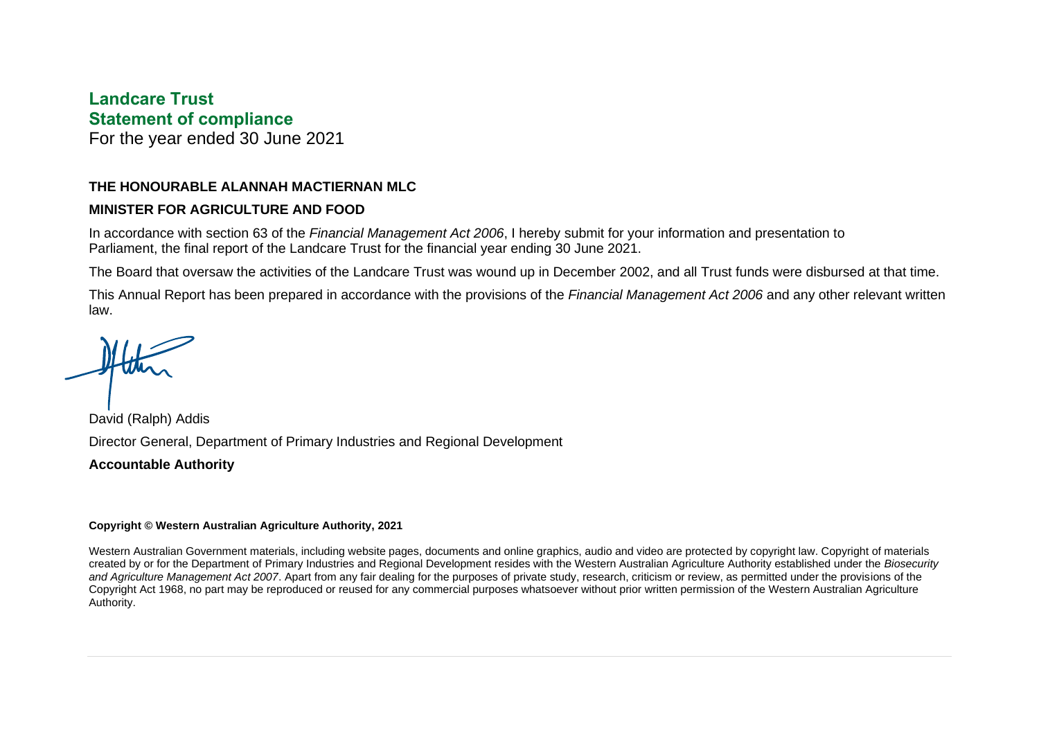### **Landcare Trust Statement of compliance**

For the year ended 30 June 2021

#### **THE HONOURABLE ALANNAH MACTIERNAN MLC**

#### **MINISTER FOR AGRICULTURE AND FOOD**

In accordance with section 63 of the *Financial Management Act 2006*, I hereby submit for your information and presentation to Parliament, the final report of the Landcare Trust for the financial year ending 30 June 2021.

The Board that oversaw the activities of the Landcare Trust was wound up in December 2002, and all Trust funds were disbursed at that time.

This Annual Report has been prepared in accordance with the provisions of the *Financial Management Act 2006* and any other relevant written law.

David (Ralph) Addis Director General, Department of Primary Industries and Regional Development **Accountable Authority**

#### **Copyright © Western Australian Agriculture Authority, 2021**

Western Australian Government materials, including website pages, documents and online graphics, audio and video are protected by copyright law. Copyright of materials created by or for the Department of Primary Industries and Regional Development resides with the Western Australian Agriculture Authority established under the *Biosecurity and Agriculture Management Act 2007*. Apart from any fair dealing for the purposes of private study, research, criticism or review, as permitted under the provisions of the Copyright Act 1968, no part may be reproduced or reused for any commercial purposes whatsoever without prior written permission of the Western Australian Agriculture Authority.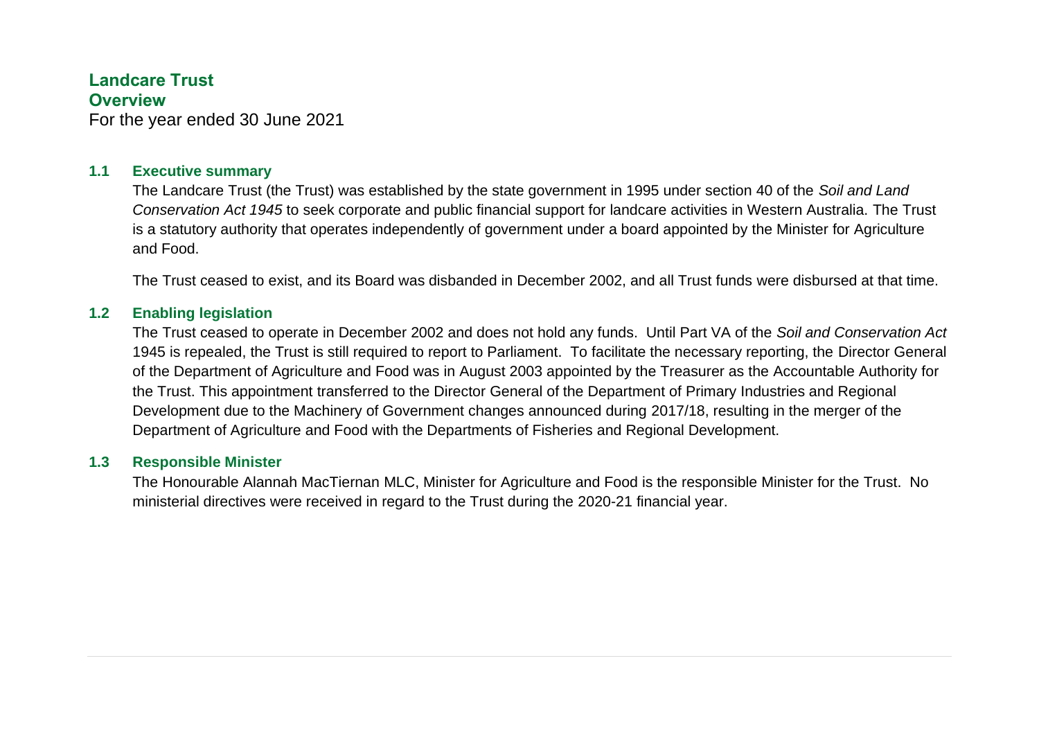#### **Landcare Trust Overview**

For the year ended 30 June 2021

#### **1.1 Executive summary**

The Landcare Trust (the Trust) was established by the state government in 1995 under section 40 of the *Soil and Land Conservation Act 1945* to seek corporate and public financial support for landcare activities in Western Australia. The Trust is a statutory authority that operates independently of government under a board appointed by the Minister for Agriculture and Food.

The Trust ceased to exist, and its Board was disbanded in December 2002, and all Trust funds were disbursed at that time.

#### **1.2 Enabling legislation**

The Trust ceased to operate in December 2002 and does not hold any funds. Until Part VA of the *Soil and Conservation Act*  1945 is repealed, the Trust is still required to report to Parliament. To facilitate the necessary reporting, the Director General of the Department of Agriculture and Food was in August 2003 appointed by the Treasurer as the Accountable Authority for the Trust. This appointment transferred to the Director General of the Department of Primary Industries and Regional Development due to the Machinery of Government changes announced during 2017/18, resulting in the merger of the Department of Agriculture and Food with the Departments of Fisheries and Regional Development.

#### **1.3 Responsible Minister**

The Honourable Alannah MacTiernan MLC, Minister for Agriculture and Food is the responsible Minister for the Trust. No ministerial directives were received in regard to the Trust during the 2020-21 financial year.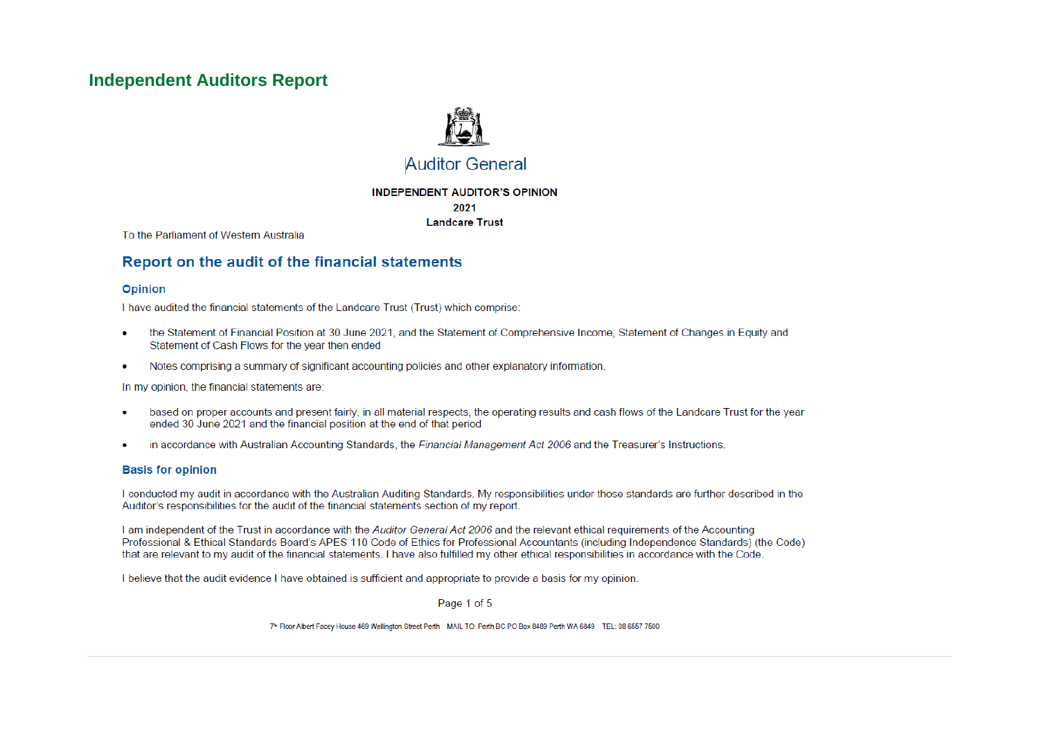### **Independent Auditors Report**



### **Auditor General**

#### **INDEPENDENT AUDITOR'S OPINION** 2021 **Landcare Trust**

To the Parliament of Western Australia

#### Report on the audit of the financial statements

#### **Opinion**

I have audited the financial statements of the Landcare Trust (Trust) which comprise:

- the Statement of Financial Position at 30 June 2021, and the Statement of Comprehensive Income, Statement of Changes in Equity and  $\bullet$ Statement of Cash Flows for the year then ended
- Notes comprising a summary of significant accounting policies and other explanatory information.  $\bullet$

In my opinion, the financial statements are:

- based on proper accounts and present fairly, in all material respects, the operating results and cash flows of the Landcare Trust for the year  $\bullet$ ended 30 June 2021 and the financial position at the end of that period
- in accordance with Australian Accounting Standards, the Financial Management Act 2006 and the Treasurer's Instructions.

#### **Basis for opinion**

I conducted my audit in accordance with the Australian Auditing Standards. My responsibilities under those standards are further described in the Auditor's responsibilities for the audit of the financial statements section of my report.

I am independent of the Trust in accordance with the Auditor General Act 2006 and the relevant ethical requirements of the Accounting Professional & Ethical Standards Board's APES 110 Code of Ethics for Professional Accountants (including Independence Standards) (the Code) that are relevant to my audit of the financial statements. I have also fulfilled my other ethical responsibilities in accordance with the Code.

I believe that the audit evidence I have obtained is sufficient and appropriate to provide a basis for my opinion.

Page 1 of 5

7th Floor Albert Facey House 469 Wellington Street Perth MAIL TO: Perth BC PO Box 8489 Perth WA 6849 TEL: 08 6557 7500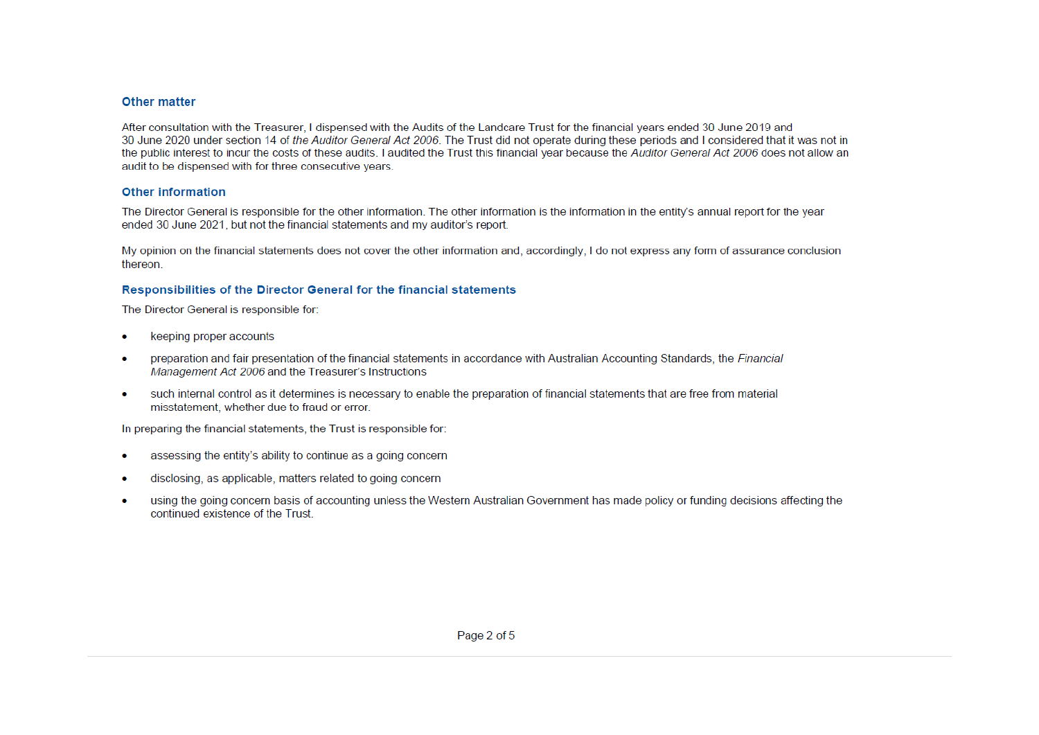#### Other matter

After consultation with the Treasurer, I dispensed with the Audits of the Landcare Trust for the financial years ended 30 June 2019 and 30 June 2020 under section 14 of the Auditor General Act 2006. The Trust did not operate during these periods and I considered that it was not in the public interest to incur the costs of these audits. I audited the Trust this financial year because the Auditor General Act 2006 does not allow an audit to be dispensed with for three consecutive vears.

#### **Other information**

The Director General is responsible for the other information. The other information is the information in the entity's annual report for the year ended 30 June 2021, but not the financial statements and my auditor's report.

My opinion on the financial statements does not cover the other information and, accordingly, I do not express any form of assurance conclusion thereon.

#### Responsibilities of the Director General for the financial statements

The Director General is responsible for:

- keeping proper accounts
- preparation and fair presentation of the financial statements in accordance with Australian Accounting Standards, the Financial  $\bullet$ Management Act 2006 and the Treasurer's Instructions
- such internal control as it determines is necessary to enable the preparation of financial statements that are free from material  $\bullet$ misstatement, whether due to fraud or error.

In preparing the financial statements, the Trust is responsible for:

- assessing the entity's ability to continue as a going concern
- disclosing, as applicable, matters related to going concern
- using the going concern basis of accounting unless the Western Australian Government has made policy or funding decisions affecting the  $\bullet$ continued existence of the Trust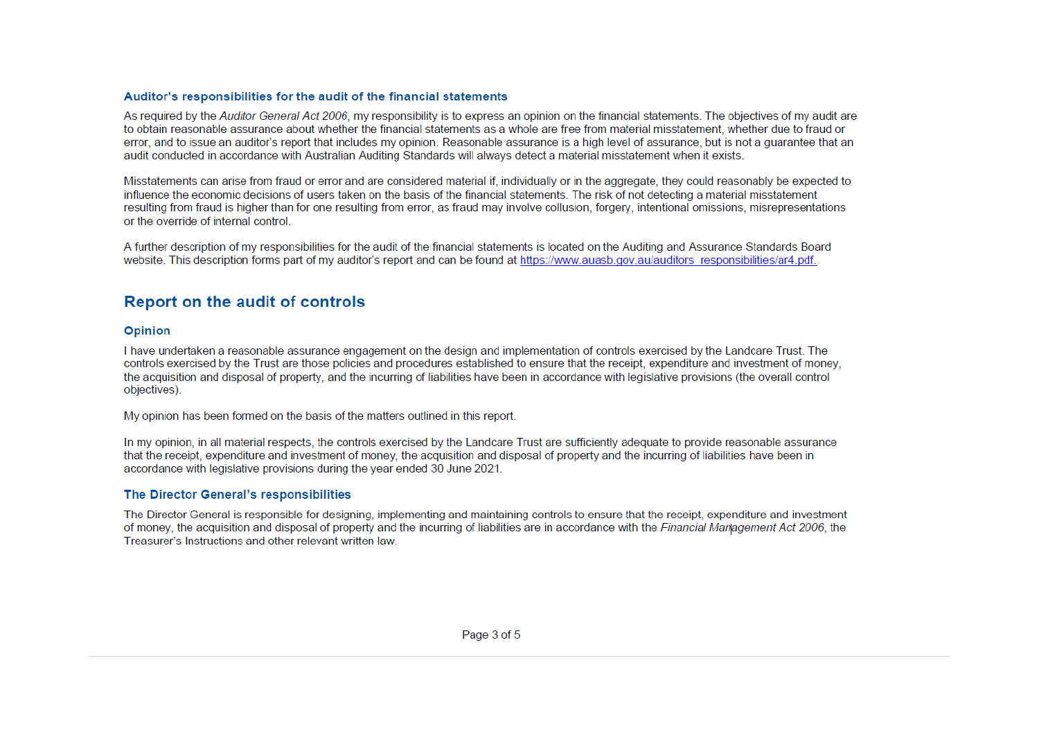#### Auditor's responsibilities for the audit of the financial statements

As required by the Auditor General Act 2006, my responsibility is to express an opinion on the financial statements. The objectives of my audit are to obtain reasonable assurance about whether the financial statements as a whole are free from material misstatement, whether due to fraud or error, and to issue an auditor's report that includes my opinion. Reasonable assurance is a high level of assurance, but is not a quarantee that an audit conducted in accordance with Australian Auditing Standards will always detect a material misstatement when it exists.

Misstatements can arise from fraud or error and are considered material if, individually or in the aggregate, they could reasonably be expected to influence the economic decisions of users taken on the basis of the financial statements. The risk of not detecting a material misstatement resulting from fraud is higher than for one resulting from error, as fraud may involve collusion, forgery, intentional omissions, misrepresentations or the override of internal control

A further description of my responsibilities for the audit of the financial statements is located on the Auditing and Assurance Standards Board website. This description forms part of my auditor's report and can be found at https://www.auasb.gov.au/auditors responsibilities/ar4.pdf.

### **Report on the audit of controls**

#### **Opinion**

I have undertaken a reasonable assurance engagement on the design and implementation of controls exercised by the Landcare Trust. The controls exercised by the Trust are those policies and procedures established to ensure that the receipt, expenditure and investment of money. the acquisition and disposal of property, and the incurring of liabilities have been in accordance with legislative provisions (the overall control objectives).

My opinion has been formed on the basis of the matters outlined in this report.

In my opinion, in all material respects, the controls exercised by the Landcare Trust are sufficiently adequate to provide reasonable assurance that the receipt, expenditure and investment of money, the acquisition and disposal of property and the incurring of liabilities have been in accordance with legislative provisions during the year ended 30 June 2021.

#### The Director General's responsibilities

The Director General is responsible for designing, implementing and maintaining controls to ensure that the receipt, expenditure and investment of money, the acquisition and disposal of property and the incurring of liabilities are in accordance with the Financial Management Act 2006, the Treasurer's Instructions and other relevant written law.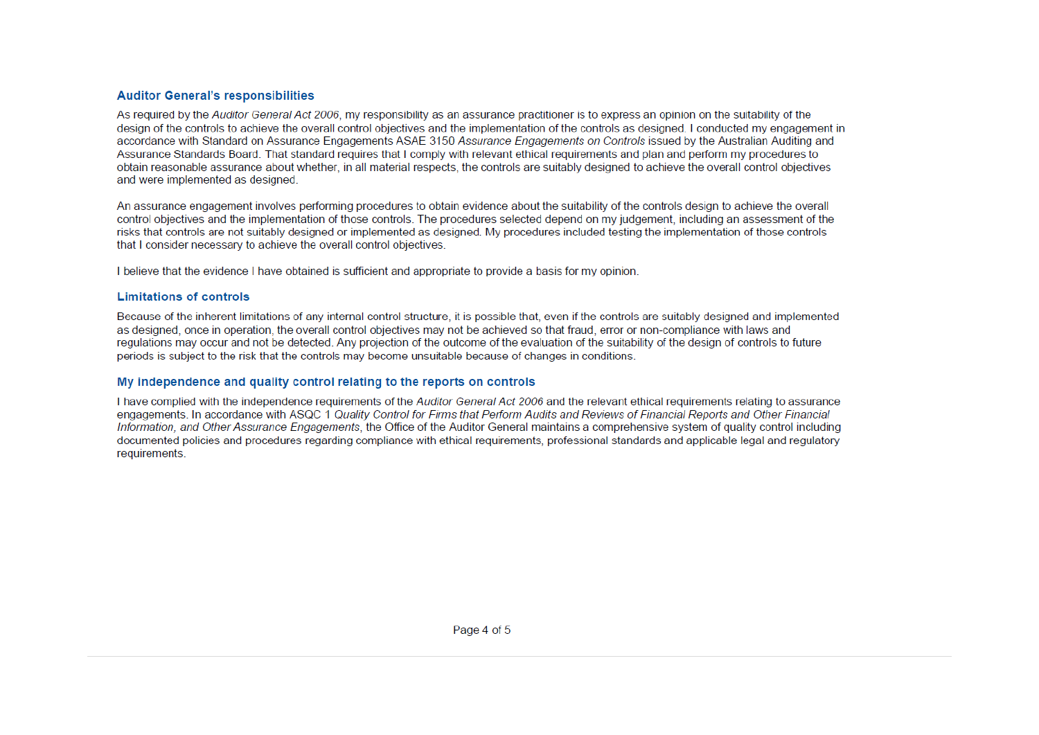#### **Auditor General's responsibilities**

As required by the Auditor General Act 2006, my responsibility as an assurance practitioner is to express an opinion on the suitability of the design of the controls to achieve the overall control objectives and the implementation of the controls as designed. I conducted my engagement in accordance with Standard on Assurance Engagements ASAE 3150 Assurance Engagements on Controls issued by the Australian Auditing and Assurance Standards Board. That standard requires that Lcomply with relevant ethical requirements and plan and perform my procedures to obtain reasonable assurance about whether, in all material respects, the controls are suitably designed to achieve the overall control objectives and were implemented as designed.

An assurance engagement involves performing procedures to obtain evidence about the suitability of the controls design to achieve the overall control objectives and the implementation of those controls. The procedures selected depend on my judgement, including an assessment of the risks that controls are not suitably designed or implemented as designed. My procedures included testing the implementation of those controls that I consider necessary to achieve the overall control objectives.

I believe that the evidence I have obtained is sufficient and appropriate to provide a basis for my opinion.

#### **Limitations of controls**

Because of the inherent limitations of any internal control structure, it is possible that, even if the controls are suitably designed and implemented as designed, once in operation, the overall control objectives may not be achieved so that fraud, error or non-compliance with laws and regulations may occur and not be detected. Any projection of the outcome of the evaluation of the suitability of the design of controls to future periods is subject to the risk that the controls may become unsuitable because of changes in conditions.

#### My independence and quality control relating to the reports on controls

I have complied with the independence requirements of the Auditor General Act 2006 and the relevant ethical requirements relating to assurance engagements. In accordance with ASQC 1 Quality Control for Firms that Perform Audits and Reviews of Financial Reports and Other Financial Information, and Other Assurance Engagements, the Office of the Auditor General maintains a comprehensive system of quality control including documented policies and procedures regarding compliance with ethical requirements, professional standards and applicable legal and requlatory requirements.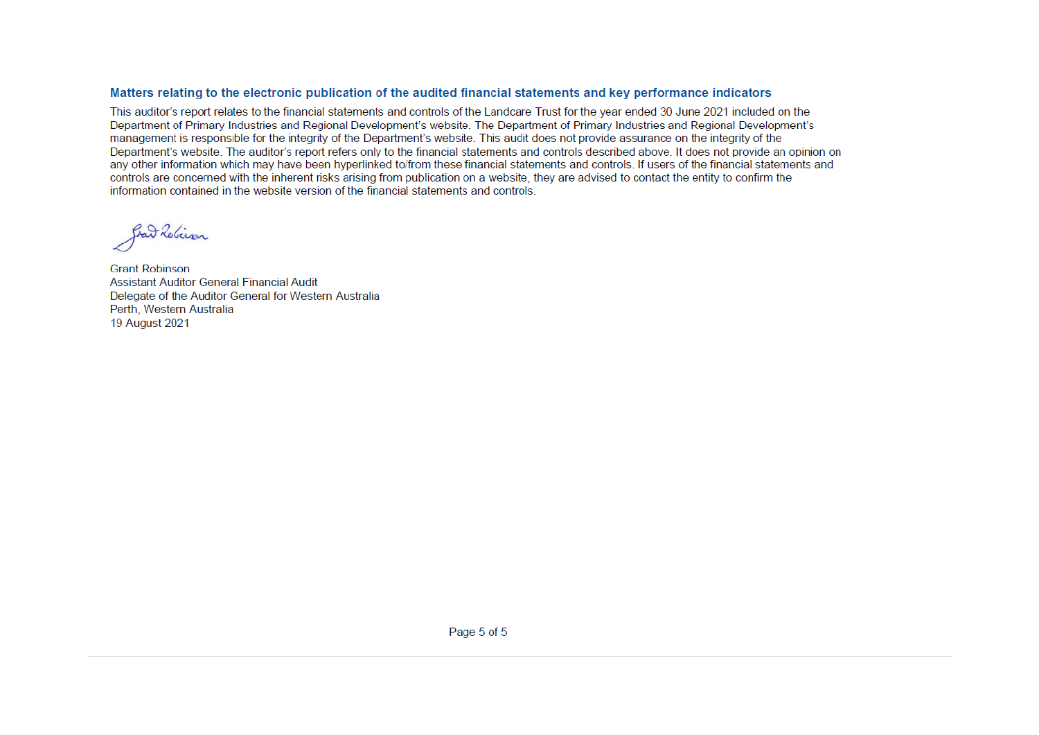#### Matters relating to the electronic publication of the audited financial statements and key performance indicators

This auditor's report relates to the financial statements and controls of the Landcare Trust for the vear ended 30 June 2021 included on the Department of Primary Industries and Regional Development's website. The Department of Primary Industries and Regional Development's management is responsible for the integrity of the Department's website. This audit does not provide assurance on the integrity of the Department's website. The auditor's report refers only to the financial statements and controls described above. It does not provide an opinion on any other information which may have been hyperlinked to/from these financial statements and controls. If users of the financial statements and controls are concerned with the inherent risks arising from publication on a website, they are advised to contact the entity to confirm the information contained in the website version of the financial statements and controls.

grand Rebeiran

**Grant Robinson** Assistant Auditor General Financial Audit Delegate of the Auditor General for Western Australia Perth, Western Australia 19 August 2021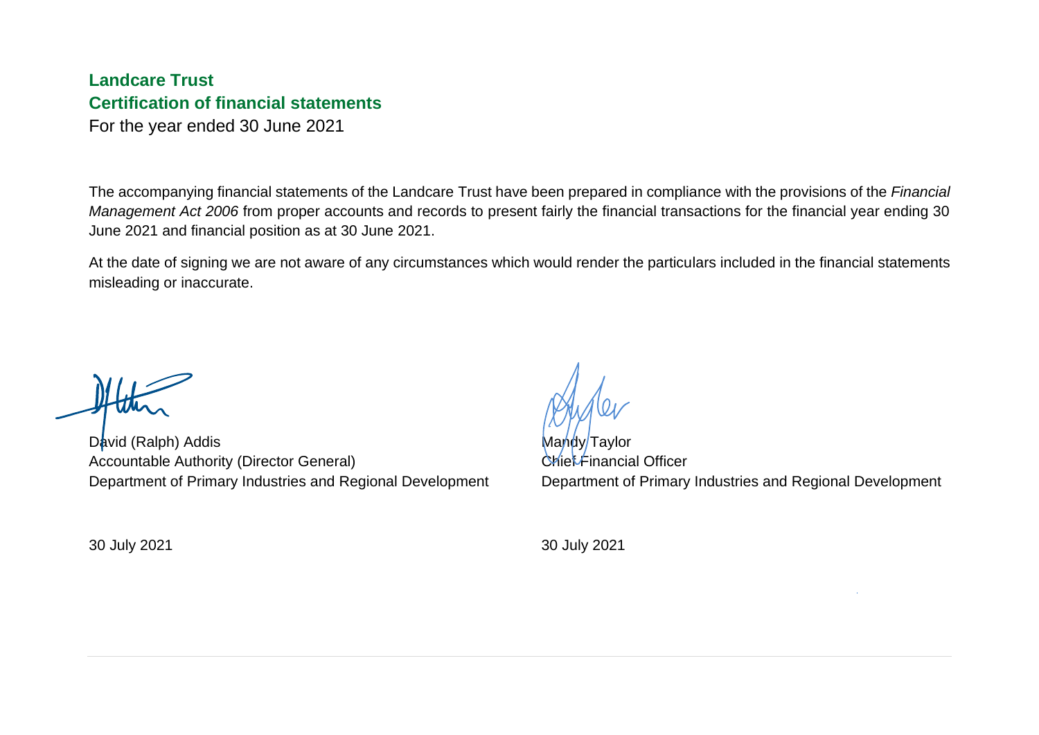# **Landcare Trust Certification of financial statements**

For the year ended 30 June 2021

The accompanying financial statements of the Landcare Trust have been prepared in compliance with the provisions of the *Financial Management Act 2006* from proper accounts and records to present fairly the financial transactions for the financial year ending 30 June 2021 and financial position as at 30 June 2021.

At the date of signing we are not aware of any circumstances which would render the particulars included in the financial statements misleading or inaccurate.

David (Ralph) Addis Accountable Authority (Director General) Department of Primary Industries and Regional Development

30 July 2021

Mandy/Taylor Chief Financial Officer Department of Primary Industries and Regional Development

30 July 2021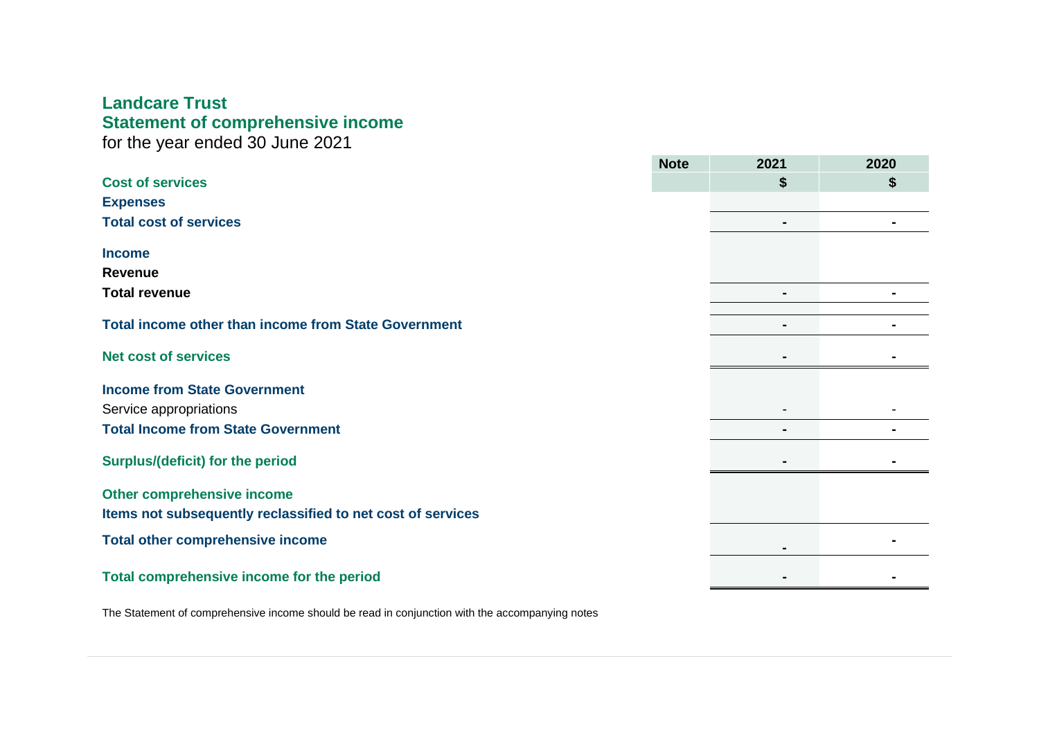# **Landcare Trust Statement of comprehensive income**

for the year ended 30 June 2021

|                                                             | <b>Note</b> | 2021           | 2020 |
|-------------------------------------------------------------|-------------|----------------|------|
| <b>Cost of services</b>                                     |             | \$             | \$   |
| <b>Expenses</b>                                             |             |                |      |
| <b>Total cost of services</b>                               |             | $\blacksquare$ |      |
| <b>Income</b>                                               |             |                |      |
| <b>Revenue</b>                                              |             |                |      |
| <b>Total revenue</b>                                        |             | ۰              |      |
| <b>Total income other than income from State Government</b> |             | $\blacksquare$ |      |
|                                                             |             |                |      |
| <b>Net cost of services</b>                                 |             | $\blacksquare$ |      |
| <b>Income from State Government</b>                         |             |                |      |
| Service appropriations                                      |             |                |      |
| <b>Total Income from State Government</b>                   |             | $\blacksquare$ |      |
| <b>Surplus/(deficit) for the period</b>                     |             |                |      |
| Other comprehensive income                                  |             |                |      |
| Items not subsequently reclassified to net cost of services |             |                |      |
| <b>Total other comprehensive income</b>                     |             | $\blacksquare$ |      |
| Total comprehensive income for the period                   |             |                |      |

The Statement of comprehensive income should be read in conjunction with the accompanying notes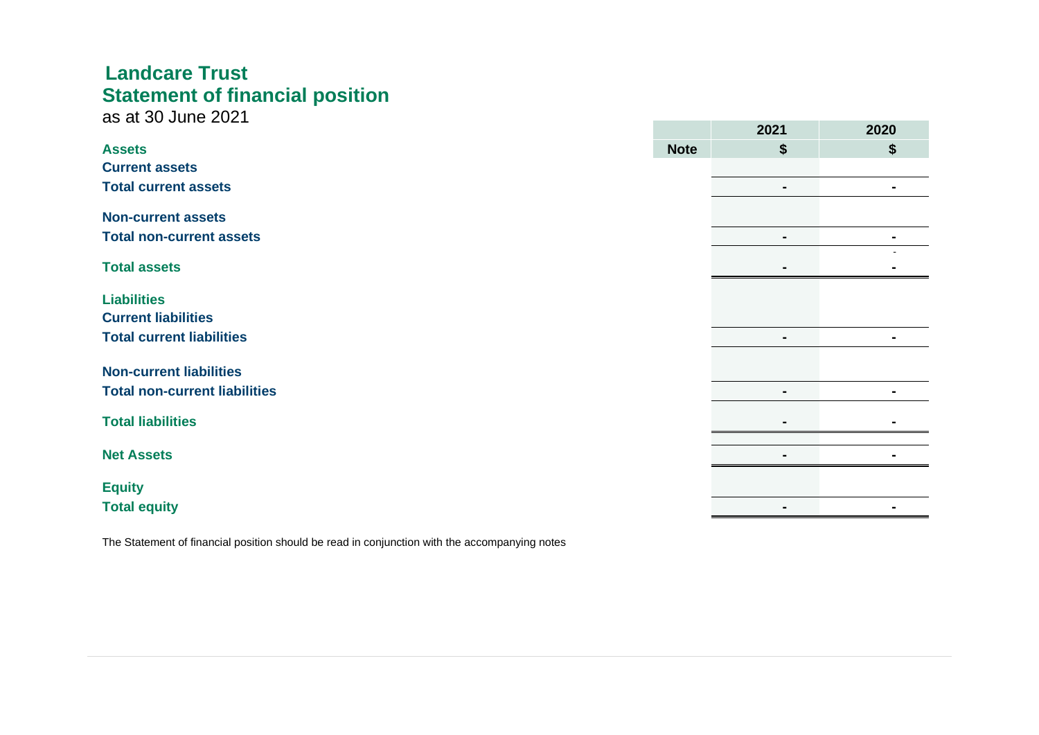# **Landcare Trust Statement of financial position**

as at 30 June 2021

|                                      |             | LVL I          | LVLV           |
|--------------------------------------|-------------|----------------|----------------|
| <b>Assets</b>                        | <b>Note</b> | \$             | \$             |
| <b>Current assets</b>                |             |                |                |
| <b>Total current assets</b>          |             | $\blacksquare$ | $\blacksquare$ |
| <b>Non-current assets</b>            |             |                |                |
| <b>Total non-current assets</b>      |             | $\blacksquare$ | ۰.             |
|                                      |             |                |                |
| <b>Total assets</b>                  |             | $\blacksquare$ |                |
|                                      |             |                |                |
| <b>Liabilities</b>                   |             |                |                |
| <b>Current liabilities</b>           |             |                |                |
| <b>Total current liabilities</b>     |             | $\blacksquare$ | ۰              |
|                                      |             |                |                |
| <b>Non-current liabilities</b>       |             |                |                |
| <b>Total non-current liabilities</b> |             | $\blacksquare$ | ۰              |
|                                      |             |                |                |
| <b>Total liabilities</b>             |             |                |                |
| <b>Net Assets</b>                    |             | $\blacksquare$ |                |
|                                      |             |                |                |
| <b>Equity</b>                        |             |                |                |
| <b>Total equity</b>                  |             | $\blacksquare$ |                |
|                                      |             |                |                |

**2021 2020**

The Statement of financial position should be read in conjunction with the accompanying notes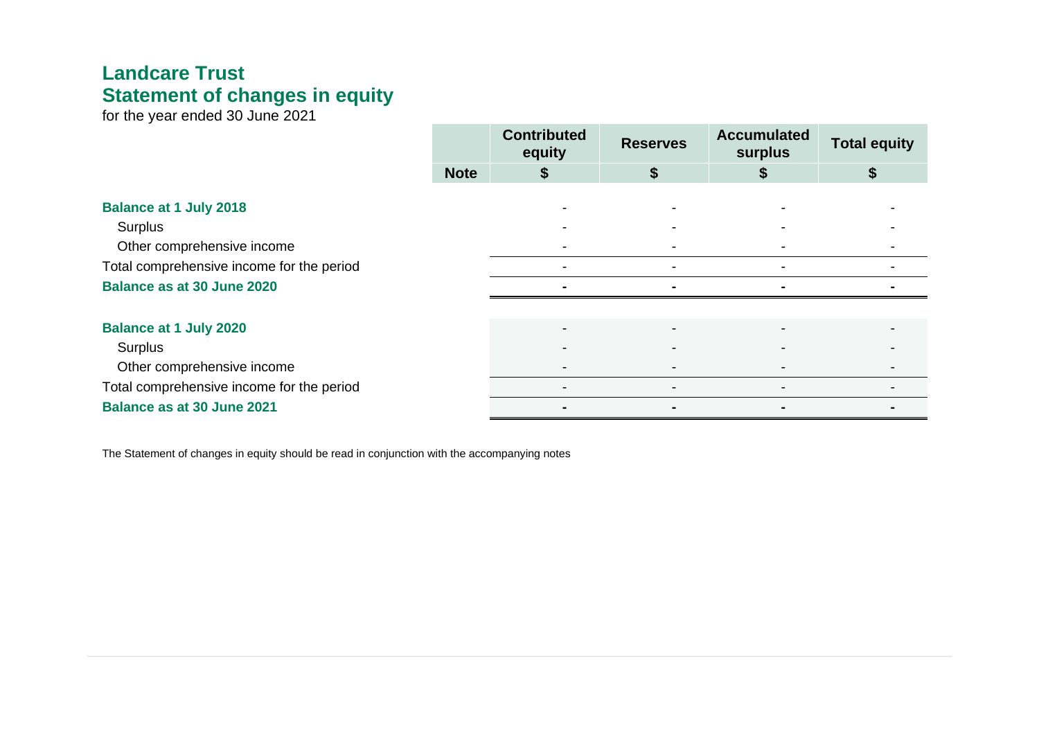# **Landcare Trust Statement of changes in equity**

for the year ended 30 June 2021

|                                           |             | <b>Contributed</b><br>equity | <b>Reserves</b> | <b>Accumulated</b><br>surplus | <b>Total equity</b> |
|-------------------------------------------|-------------|------------------------------|-----------------|-------------------------------|---------------------|
|                                           | <b>Note</b> |                              | D               |                               |                     |
| <b>Balance at 1 July 2018</b>             |             |                              |                 |                               |                     |
| Surplus                                   |             |                              |                 |                               |                     |
| Other comprehensive income                |             |                              |                 |                               |                     |
| Total comprehensive income for the period |             |                              |                 |                               |                     |
| <b>Balance as at 30 June 2020</b>         |             |                              |                 |                               |                     |
|                                           |             |                              |                 |                               |                     |
| <b>Balance at 1 July 2020</b>             |             |                              |                 |                               |                     |
| Surplus                                   |             |                              |                 |                               |                     |
| Other comprehensive income                |             |                              |                 |                               |                     |
| Total comprehensive income for the period |             |                              |                 |                               |                     |
| <b>Balance as at 30 June 2021</b>         |             |                              |                 |                               |                     |

The Statement of changes in equity should be read in conjunction with the accompanying notes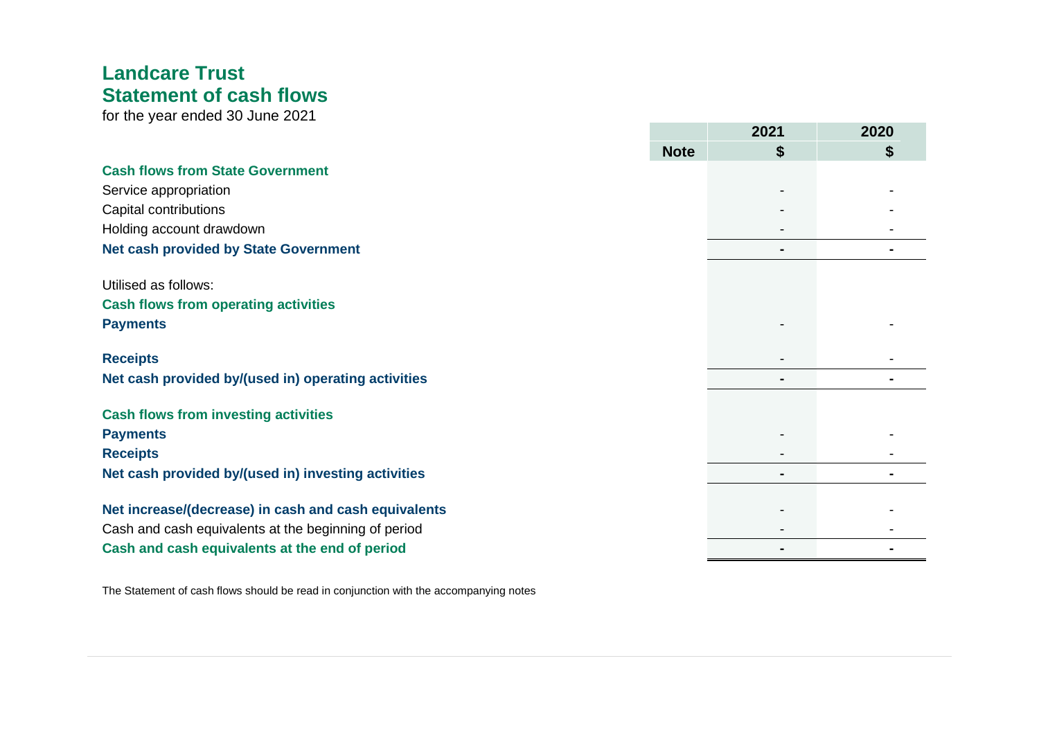# **Landcare Trust Statement of cash flows**

for the year ended 30 June 2021

| \$<br><b>Note</b><br>\$<br><b>Cash flows from State Government</b><br>Service appropriation<br>Capital contributions<br>Holding account drawdown<br><b>Net cash provided by State Government</b><br>Utilised as follows:<br><b>Cash flows from operating activities</b><br><b>Payments</b><br><b>Receipts</b><br>Net cash provided by/(used in) operating activities<br><b>Cash flows from investing activities</b><br><b>Payments</b><br><b>Receipts</b><br>Net cash provided by/(used in) investing activities<br>Net increase/(decrease) in cash and cash equivalents<br>Cash and cash equivalents at the beginning of period<br>Cash and cash equivalents at the end of period |  | 2021 | 2020 |
|------------------------------------------------------------------------------------------------------------------------------------------------------------------------------------------------------------------------------------------------------------------------------------------------------------------------------------------------------------------------------------------------------------------------------------------------------------------------------------------------------------------------------------------------------------------------------------------------------------------------------------------------------------------------------------|--|------|------|
|                                                                                                                                                                                                                                                                                                                                                                                                                                                                                                                                                                                                                                                                                    |  |      |      |
|                                                                                                                                                                                                                                                                                                                                                                                                                                                                                                                                                                                                                                                                                    |  |      |      |
|                                                                                                                                                                                                                                                                                                                                                                                                                                                                                                                                                                                                                                                                                    |  |      |      |
|                                                                                                                                                                                                                                                                                                                                                                                                                                                                                                                                                                                                                                                                                    |  |      |      |
|                                                                                                                                                                                                                                                                                                                                                                                                                                                                                                                                                                                                                                                                                    |  |      |      |
|                                                                                                                                                                                                                                                                                                                                                                                                                                                                                                                                                                                                                                                                                    |  |      |      |
|                                                                                                                                                                                                                                                                                                                                                                                                                                                                                                                                                                                                                                                                                    |  |      |      |
|                                                                                                                                                                                                                                                                                                                                                                                                                                                                                                                                                                                                                                                                                    |  |      |      |
|                                                                                                                                                                                                                                                                                                                                                                                                                                                                                                                                                                                                                                                                                    |  |      |      |
|                                                                                                                                                                                                                                                                                                                                                                                                                                                                                                                                                                                                                                                                                    |  |      |      |
|                                                                                                                                                                                                                                                                                                                                                                                                                                                                                                                                                                                                                                                                                    |  |      |      |
|                                                                                                                                                                                                                                                                                                                                                                                                                                                                                                                                                                                                                                                                                    |  |      |      |
|                                                                                                                                                                                                                                                                                                                                                                                                                                                                                                                                                                                                                                                                                    |  |      |      |
|                                                                                                                                                                                                                                                                                                                                                                                                                                                                                                                                                                                                                                                                                    |  |      |      |
|                                                                                                                                                                                                                                                                                                                                                                                                                                                                                                                                                                                                                                                                                    |  |      |      |
|                                                                                                                                                                                                                                                                                                                                                                                                                                                                                                                                                                                                                                                                                    |  |      |      |
|                                                                                                                                                                                                                                                                                                                                                                                                                                                                                                                                                                                                                                                                                    |  |      |      |
|                                                                                                                                                                                                                                                                                                                                                                                                                                                                                                                                                                                                                                                                                    |  |      |      |
|                                                                                                                                                                                                                                                                                                                                                                                                                                                                                                                                                                                                                                                                                    |  |      |      |
|                                                                                                                                                                                                                                                                                                                                                                                                                                                                                                                                                                                                                                                                                    |  |      |      |

The Statement of cash flows should be read in conjunction with the accompanying notes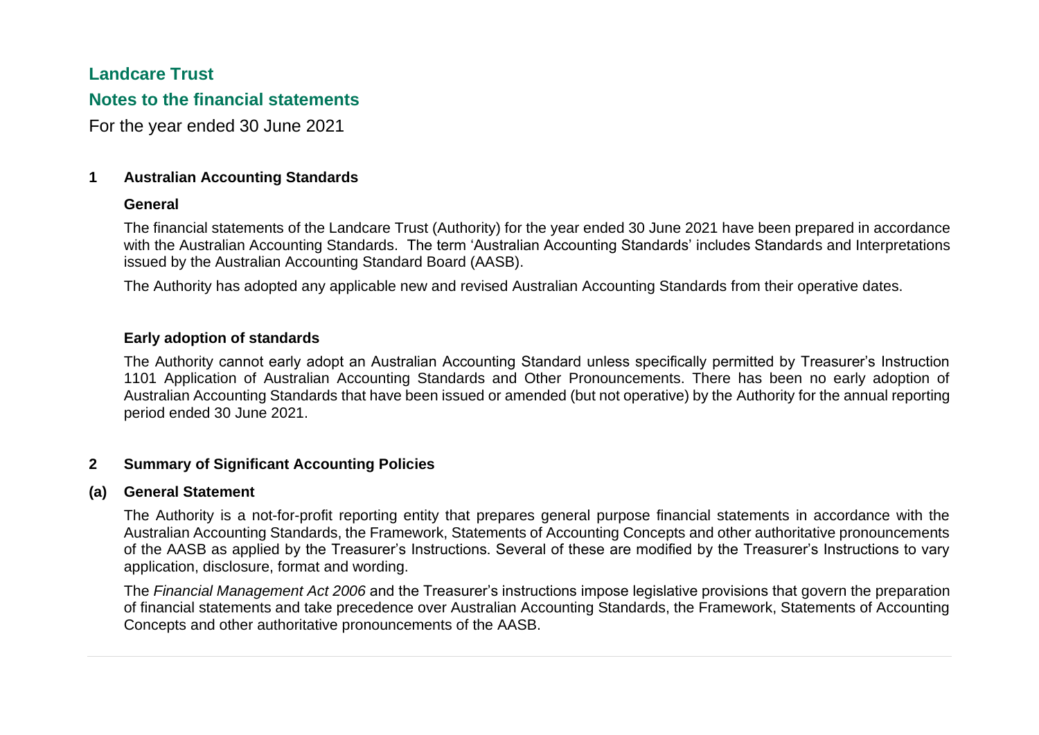### **Landcare Trust**

### **Notes to the financial statements**

For the year ended 30 June 2021

#### **1 Australian Accounting Standards**

#### **General**

The financial statements of the Landcare Trust (Authority) for the year ended 30 June 2021 have been prepared in accordance with the Australian Accounting Standards. The term 'Australian Accounting Standards' includes Standards and Interpretations issued by the Australian Accounting Standard Board (AASB).

The Authority has adopted any applicable new and revised Australian Accounting Standards from their operative dates.

#### **Early adoption of standards**

The Authority cannot early adopt an Australian Accounting Standard unless specifically permitted by Treasurer's Instruction 1101 Application of Australian Accounting Standards and Other Pronouncements. There has been no early adoption of Australian Accounting Standards that have been issued or amended (but not operative) by the Authority for the annual reporting period ended 30 June 2021.

#### **2 Summary of Significant Accounting Policies**

#### **(a) General Statement**

The Authority is a not-for-profit reporting entity that prepares general purpose financial statements in accordance with the Australian Accounting Standards, the Framework, Statements of Accounting Concepts and other authoritative pronouncements of the AASB as applied by the Treasurer's Instructions. Several of these are modified by the Treasurer's Instructions to vary application, disclosure, format and wording.

The *Financial Management Act 2006* and the Treasurer's instructions impose legislative provisions that govern the preparation of financial statements and take precedence over Australian Accounting Standards, the Framework, Statements of Accounting Concepts and other authoritative pronouncements of the AASB.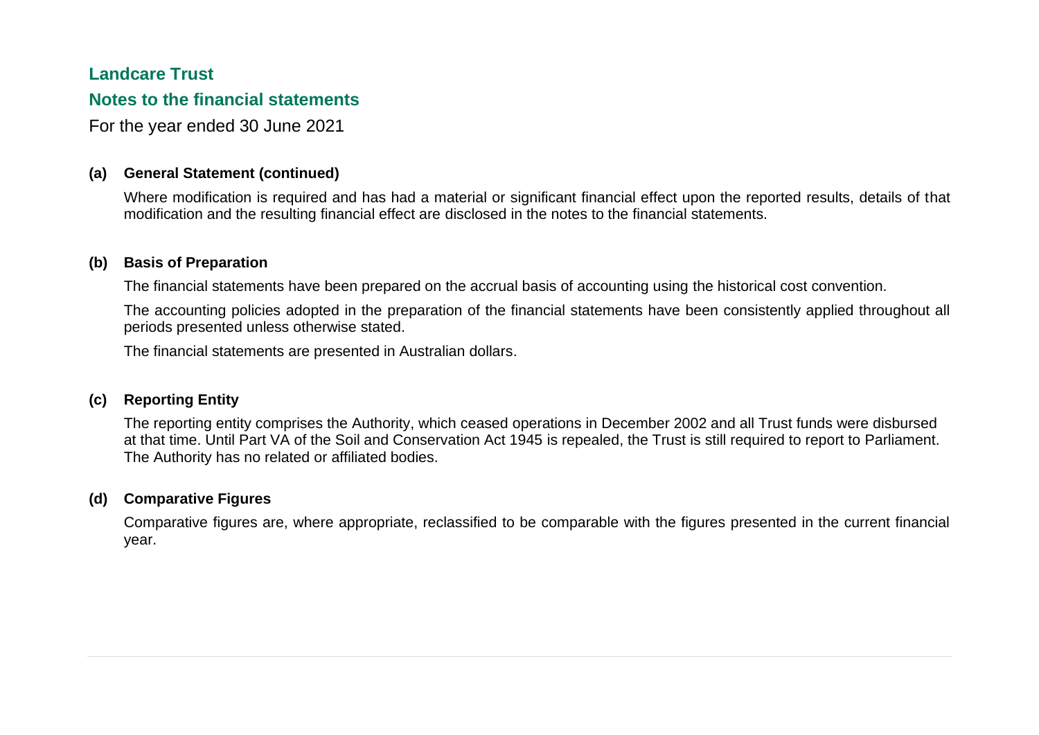### **Landcare Trust**

### **Notes to the financial statements**

For the year ended 30 June 2021

### **(a) General Statement (continued)**

Where modification is required and has had a material or significant financial effect upon the reported results, details of that modification and the resulting financial effect are disclosed in the notes to the financial statements.

#### **(b) Basis of Preparation**

The financial statements have been prepared on the accrual basis of accounting using the historical cost convention.

The accounting policies adopted in the preparation of the financial statements have been consistently applied throughout all periods presented unless otherwise stated.

The financial statements are presented in Australian dollars.

### **(c) Reporting Entity**

The reporting entity comprises the Authority, which ceased operations in December 2002 and all Trust funds were disbursed at that time. Until Part VA of the Soil and Conservation Act 1945 is repealed, the Trust is still required to report to Parliament. The Authority has no related or affiliated bodies.

#### **(d) Comparative Figures**

Comparative figures are, where appropriate, reclassified to be comparable with the figures presented in the current financial year.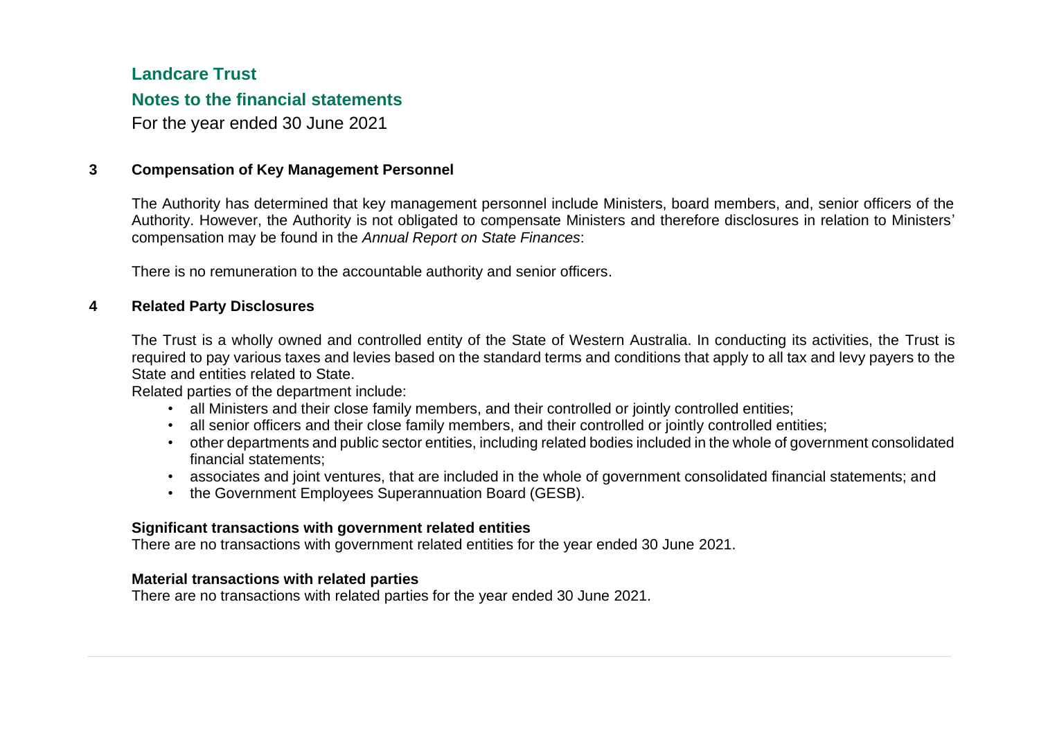## **Landcare Trust**

### **Notes to the financial statements**

For the year ended 30 June 2021

#### **3 Compensation of Key Management Personnel**

The Authority has determined that key management personnel include Ministers, board members, and, senior officers of the Authority. However, the Authority is not obligated to compensate Ministers and therefore disclosures in relation to Ministers' compensation may be found in the *Annual Report on State Finances*:

There is no remuneration to the accountable authority and senior officers.

#### **4 Related Party Disclosures**

The Trust is a wholly owned and controlled entity of the State of Western Australia. In conducting its activities, the Trust is required to pay various taxes and levies based on the standard terms and conditions that apply to all tax and levy payers to the State and entities related to State.

Related parties of the department include:

- all Ministers and their close family members, and their controlled or jointly controlled entities;
- all senior officers and their close family members, and their controlled or jointly controlled entities;
- other departments and public sector entities, including related bodies included in the whole of government consolidated financial statements;
- associates and joint ventures, that are included in the whole of government consolidated financial statements; and
- the Government Employees Superannuation Board (GESB).

#### **Significant transactions with government related entities**

There are no transactions with government related entities for the year ended 30 June 2021.

#### **Material transactions with related parties**

There are no transactions with related parties for the year ended 30 June 2021.